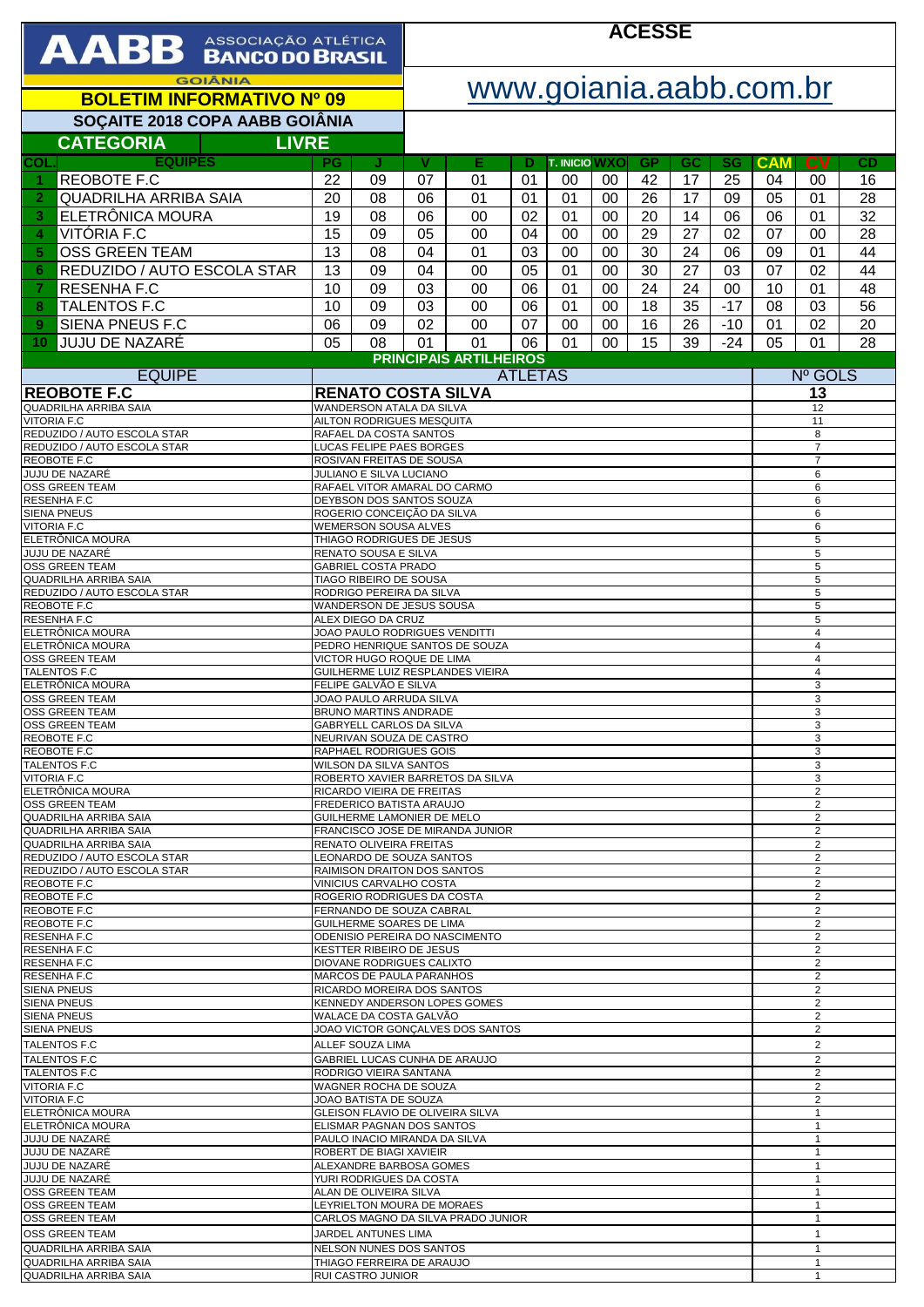| AABB ASSOCIAÇÃO ATLÉTICA                                       |                                                         |                                                         | <b>ACESSE</b>                                                                                    |                                     |                |                            |          |                 |                              |                                  |                                           |                     |          |  |
|----------------------------------------------------------------|---------------------------------------------------------|---------------------------------------------------------|--------------------------------------------------------------------------------------------------|-------------------------------------|----------------|----------------------------|----------|-----------------|------------------------------|----------------------------------|-------------------------------------------|---------------------|----------|--|
| <b>GOIÂNIA</b><br><b>BOLETIM INFORMATIVO Nº 09</b>             |                                                         |                                                         |                                                                                                  | www.goiania.aabb.com.br             |                |                            |          |                 |                              |                                  |                                           |                     |          |  |
| SOÇAITE 2018 COPA AABB GOIÂNIA                                 |                                                         |                                                         |                                                                                                  |                                     |                |                            |          |                 |                              |                                  |                                           |                     |          |  |
| <b>CATEGORIA</b><br><b>LIVRE</b>                               |                                                         |                                                         |                                                                                                  |                                     |                |                            |          |                 |                              |                                  |                                           |                     |          |  |
| <b>EQUIPES</b><br>COL<br><b>REOBOTE F.C</b><br>1               | PG<br>22                                                | J<br>09                                                 | v<br>07                                                                                          | Е<br>01                             | Ð<br>01        | <b>T. INICIO WXO</b><br>00 | 00       | <b>GP</b><br>42 | GC<br>17                     | SG.<br>25                        | <b>CAM</b><br>04                          | $c_{V}$<br>00       | CD<br>16 |  |
| <b>QUADRILHA ARRIBA SAIA</b><br>$\overline{2}$                 | 20                                                      | 08                                                      | 06                                                                                               | 01                                  | 01             | 01                         | 00       | 26              | 17                           | 09                               | 05                                        | 01                  | 28       |  |
| ELETRÔNICA MOURA<br>3                                          |                                                         | 08                                                      | 06                                                                                               | 00                                  | 02             | 01                         | 00       | 20              | 14                           | 06                               | 06                                        | 01                  | 32       |  |
| VITÓRIA F.C<br>$\overline{\mathbf{4}}$                         | 15                                                      | 09                                                      | 05                                                                                               | 00                                  | 04             | 00                         | 00       | 29              | 27                           | 02                               | 07                                        | 00                  | 28       |  |
| <b>OSS GREEN TEAM</b><br>5<br>REDUZIDO / AUTO ESCOLA STAR<br>6 | 13<br>13                                                | 08<br>09                                                | 04<br>04                                                                                         | 01<br>00                            | 03<br>05       | 00<br>01                   | 00<br>00 | 30<br>30        | 24<br>27                     | 06<br>03                         | 09<br>07                                  | 01<br>02            | 44<br>44 |  |
| <b>RESENHA F.C</b><br>$\overline{7}$                           | 10                                                      | 09                                                      | 03                                                                                               | 00                                  | 06             | 01                         | 00       | 24              | 24                           | 00                               | 10                                        | 01                  | 48       |  |
| <b>TALENTOS F.C</b><br>8                                       | 10                                                      | 09                                                      | 03                                                                                               | 00                                  | 06             | 01                         | 00       | 18              | 35                           | $-17$                            | 08                                        | 03                  | 56       |  |
| SIENA PNEUS F.C<br>9                                           | 06                                                      | 09                                                      | 02                                                                                               | 00                                  | 07             | 00                         | 00       | 16              | 26                           | $-10$                            | 01                                        | 02                  | 20       |  |
| JUJU DE NAZARÉ<br>10                                           | 05                                                      | 08                                                      | 01                                                                                               | 01<br><b>PRINCIPAIS ARTILHEIROS</b> | 06             | 01                         | 00       | 15              | 39                           | $-24$                            | 05                                        | 01                  | 28       |  |
| <b>EQUIPE</b>                                                  |                                                         |                                                         |                                                                                                  |                                     | <b>ATLETAS</b> |                            |          |                 |                              |                                  |                                           | Nº GOLS             |          |  |
| <b>REOBOTE F.C</b>                                             |                                                         | <b>RENATO COSTA SILVA</b>                               |                                                                                                  |                                     |                |                            |          |                 |                              |                                  |                                           | 13                  |          |  |
| QUADRILHA ARRIBA SAIA<br><b>VITORIA F.C</b>                    |                                                         | WANDERSON ATALA DA SILVA<br>AILTON RODRIGUES MESQUITA   |                                                                                                  |                                     |                |                            |          |                 |                              |                                  |                                           | 12<br>11            |          |  |
| REDUZIDO / AUTO ESCOLA STAR<br>REDUZIDO / AUTO ESCOLA STAR     |                                                         | RAFAEL DA COSTA SANTOS<br>LUCAS FELIPE PAES BORGES      |                                                                                                  |                                     |                |                            |          |                 |                              |                                  |                                           | 8<br>$\overline{7}$ |          |  |
| <b>REOBOTE F.C</b>                                             |                                                         | ROSIVAN FREITAS DE SOUSA                                |                                                                                                  |                                     |                |                            |          |                 |                              |                                  |                                           | $\overline{7}$      |          |  |
| JUJU DE NAZARÉ<br><b>OSS GREEN TEAM</b>                        |                                                         | JULIANO E SILVA LUCIANO<br>RAFAEL VITOR AMARAL DO CARMO |                                                                                                  |                                     |                |                            |          |                 |                              |                                  |                                           | 6<br>6              |          |  |
| RESENHA F.C<br><b>SIENA PNEUS</b>                              |                                                         | DEYBSON DOS SANTOS SOUZA<br>ROGERIO CONCEIÇÃO DA SILVA  |                                                                                                  |                                     |                |                            |          |                 |                              |                                  | 6                                         |                     |          |  |
| <b>VITORIA F.C</b>                                             |                                                         | <b>WEMERSON SOUSA ALVES</b>                             |                                                                                                  |                                     |                |                            |          |                 |                              |                                  |                                           | 6<br>6              |          |  |
| ELETRÔNICA MOURA<br>JUJU DE NAZARÉ                             |                                                         |                                                         | THIAGO RODRIGUES DE JESUS                                                                        |                                     |                |                            |          |                 |                              | 5<br>5                           |                                           |                     |          |  |
| <b>OSS GREEN TEAM</b>                                          | RENATO SOUSA E SILVA<br><b>GABRIEL COSTA PRADO</b>      |                                                         |                                                                                                  |                                     |                |                            |          |                 |                              |                                  | 5                                         |                     |          |  |
| QUADRILHA ARRIBA SAIA<br>REDUZIDO / AUTO ESCOLA STAR           | TIAGO RIBEIRO DE SOUSA<br>RODRIGO PEREIRA DA SILVA      |                                                         |                                                                                                  |                                     |                |                            |          |                 |                              |                                  | $\overline{5}$<br>5                       |                     |          |  |
| REOBOTE F.C<br>RESENHA F.C                                     | WANDERSON DE JESUS SOUSA<br>ALEX DIEGO DA CRUZ          |                                                         |                                                                                                  |                                     |                |                            |          |                 |                              |                                  | 5<br>5                                    |                     |          |  |
| ELETRÔNICA MOURA                                               |                                                         |                                                         | JOAO PAULO RODRIGUES VENDITTI                                                                    |                                     |                |                            |          |                 |                              | $\overline{\mathbf{4}}$          |                                           |                     |          |  |
| ELETRÔNICA MOURA<br>OSS GREEN TEAM                             | VICTOR HUGO ROQUE DE LIMA                               |                                                         |                                                                                                  | PEDRO HENRIQUE SANTOS DE SOUZA      |                |                            |          |                 |                              |                                  | $\overline{4}$<br>$\overline{\mathbf{4}}$ |                     |          |  |
| <b>TALENTOS F.C</b>                                            |                                                         |                                                         | GUILHERME LUIZ RESPLANDES VIEIRA                                                                 |                                     |                |                            |          |                 |                              | $\overline{4}$                   |                                           |                     |          |  |
| ELETRÔNICA MOURA<br>OSS GREEN TEAM                             | FELIPE GALVÃO E SILVA<br>JOAO PAULO ARRUDA SILVA        |                                                         |                                                                                                  |                                     |                |                            |          |                 |                              |                                  | 3<br>3                                    |                     |          |  |
| <b>OSS GREEN TEAM</b><br><b>OSS GREEN TEAM</b>                 |                                                         |                                                         | BRUNO MARTINS ANDRADE<br><b>GABRYELL CARLOS DA SILVA</b>                                         |                                     |                |                            |          |                 |                              |                                  | 3<br>3                                    |                     |          |  |
| REOBOTE F.C                                                    |                                                         |                                                         | NEURIVAN SOUZA DE CASTRO                                                                         |                                     |                |                            |          |                 |                              |                                  | 3                                         |                     |          |  |
| <b>REOBOTE F.C</b><br><b>TALENTOS F.C</b>                      |                                                         |                                                         | RAPHAEL RODRIGUES GOIS<br><b>WILSON DA SILVA SANTOS</b>                                          |                                     |                |                            |          |                 |                              |                                  | 3<br>3                                    |                     |          |  |
| <b>VITORIA F.C.</b><br>ELETRÔNICA MOURA                        |                                                         |                                                         | ROBERTO XAVIER BARRETOS DA SILVA<br>RICARDO VIEIRA DE FREITAS                                    |                                     |                |                            |          |                 |                              |                                  | 3<br>$\overline{c}$                       |                     |          |  |
| <b>OSS GREEN TEAM</b>                                          |                                                         |                                                         | FREDERICO BATISTA ARAUJO                                                                         |                                     |                |                            |          |                 |                              |                                  | $\overline{\mathbf{c}}$                   |                     |          |  |
| QUADRILHA ARRIBA SAIA<br>QUADRILHA ARRIBA SAIA                 |                                                         |                                                         | GUILHERME LAMONIER DE MELO<br>FRANCISCO JOSE DE MIRANDA JUNIOR                                   |                                     |                |                            |          |                 |                              |                                  | $\overline{2}$<br>$\overline{2}$          |                     |          |  |
| QUADRILHA ARRIBA SAIA<br>REDUZIDO / AUTO ESCOLA STAR           |                                                         |                                                         | RENATO OLIVEIRA FREITAS<br>LEONARDO DE SOUZA SANTOS                                              |                                     |                |                            |          |                 |                              | 2                                |                                           |                     |          |  |
| REDUZIDO / AUTO ESCOLA STAR                                    |                                                         |                                                         | RAIMISON DRAITON DOS SANTOS                                                                      |                                     |                |                            |          |                 |                              |                                  | $\overline{2}$<br>2                       |                     |          |  |
| <b>REOBOTE F.C</b><br>REOBOTE F.C                              |                                                         |                                                         | VINICIUS CARVALHO COSTA<br>ROGERIO RODRIGUES DA COSTA                                            |                                     |                |                            |          |                 |                              | 2<br>$\overline{2}$              |                                           |                     |          |  |
| REOBOTE F.C                                                    | FERNANDO DE SOUZA CABRAL                                |                                                         |                                                                                                  |                                     |                |                            |          |                 |                              |                                  | $\overline{2}$<br>$\overline{2}$          |                     |          |  |
| REOBOTE F.C<br>GUILHERME SOARES DE LIMA<br>RESENHA F.C         |                                                         |                                                         | ODENISIO PEREIRA DO NASCIMENTO                                                                   |                                     |                |                            |          |                 |                              | 2                                |                                           |                     |          |  |
| <b>RESENHA F.C</b><br><b>RESENHA F.C</b>                       |                                                         |                                                         | <b>KESTTER RIBEIRO DE JESUS</b><br>$\overline{2}$<br>$\overline{2}$<br>DIOVANE RODRIGUES CALIXTO |                                     |                |                            |          |                 |                              |                                  |                                           |                     |          |  |
| <b>RESENHA F.C</b>                                             | <b>MARCOS DE PAULA PARANHOS</b>                         |                                                         |                                                                                                  |                                     |                |                            |          |                 |                              |                                  |                                           | $\overline{2}$      |          |  |
| <b>SIENA PNEUS</b><br><b>SIENA PNEUS</b>                       |                                                         |                                                         | RICARDO MOREIRA DOS SANTOS<br>KENNEDY ANDERSON LOPES GOMES                                       |                                     |                |                            |          |                 |                              | $\overline{2}$<br>$\overline{2}$ |                                           |                     |          |  |
| <b>SIENA PNEUS</b><br><b>SIENA PNEUS</b>                       |                                                         |                                                         | WALACE DA COSTA GALVÃO<br>JOAO VICTOR GONÇALVES DOS SANTOS                                       |                                     |                |                            |          |                 |                              | $\overline{2}$<br>2              |                                           |                     |          |  |
| <b>TALENTOS F.C</b>                                            | ALLEF SOUZA LIMA                                        |                                                         |                                                                                                  |                                     |                |                            |          |                 |                              |                                  | $\overline{2}$                            |                     |          |  |
| <b>TALENTOS F.C</b><br><b>TALENTOS F.C</b>                     | GABRIEL LUCAS CUNHA DE ARAUJO<br>RODRIGO VIEIRA SANTANA |                                                         |                                                                                                  |                                     |                |                            |          |                 |                              |                                  | $\overline{2}$<br>$\overline{2}$          |                     |          |  |
| <b>VITORIA F.C</b>                                             |                                                         |                                                         | WAGNER ROCHA DE SOUZA                                                                            |                                     |                |                            |          |                 |                              | $\overline{c}$                   |                                           |                     |          |  |
| <b>VITORIA F.C</b><br>ELETRÖNICA MOURA                         |                                                         |                                                         | JOAO BATISTA DE SOUZA<br>GLEISON FLAVIO DE OLIVEIRA SILVA                                        |                                     |                |                            |          |                 |                              | $\overline{2}$<br>$\mathbf{1}$   |                                           |                     |          |  |
| ELETRÔNICA MOURA<br>JUJU DE NAZARÉ                             |                                                         |                                                         | ELISMAR PAGNAN DOS SANTOS<br>PAULO INACIO MIRANDA DA SILVA                                       |                                     |                |                            |          |                 |                              | $\mathbf{1}$<br>$\mathbf{1}$     |                                           |                     |          |  |
| JUJU DE NAZARÉ                                                 |                                                         |                                                         | ROBERT DE BIAGI XAVIEIR                                                                          |                                     |                |                            |          |                 |                              | $\mathbf{1}$                     |                                           |                     |          |  |
| JUJU DE NAZARÉ<br>JUJU DE NAZARÉ                               |                                                         |                                                         | ALEXANDRE BARBOSA GOMES<br>YURI RODRIGUES DA COSTA                                               |                                     |                |                            |          |                 | $\mathbf{1}$<br>$\mathbf{1}$ |                                  |                                           |                     |          |  |
| <b>OSS GREEN TEAM</b><br><b>OSS GREEN TEAM</b>                 |                                                         | ALAN DE OLIVEIRA SILVA                                  |                                                                                                  |                                     |                |                            |          |                 | $\mathbf{1}$                 |                                  |                                           |                     |          |  |
| <b>OSS GREEN TEAM</b>                                          |                                                         |                                                         | LEYRIELTON MOURA DE MORAES<br>CARLOS MAGNO DA SILVA PRADO JUNIOR                                 |                                     |                |                            |          |                 | $\mathbf{1}$<br>$\mathbf{1}$ |                                  |                                           |                     |          |  |
| <b>OSS GREEN TEAM</b><br><b>QUADRILHA ARRIBA SAIA</b>          |                                                         | JARDEL ANTUNES LIMA<br>NELSON NUNES DOS SANTOS          |                                                                                                  |                                     |                |                            |          |                 |                              |                                  | $\mathbf{1}$<br>$\mathbf{1}$              |                     |          |  |
| QUADRILHA ARRIBA SAIA                                          |                                                         | THIAGO FERREIRA DE ARAUJO                               |                                                                                                  |                                     |                |                            |          |                 |                              |                                  |                                           | $\mathbf{1}$        |          |  |
| QUADRILHA ARRIBA SAIA                                          | $\mathbf{1}$<br><b>RUI CASTRO JUNIOR</b>                |                                                         |                                                                                                  |                                     |                |                            |          |                 |                              |                                  |                                           |                     |          |  |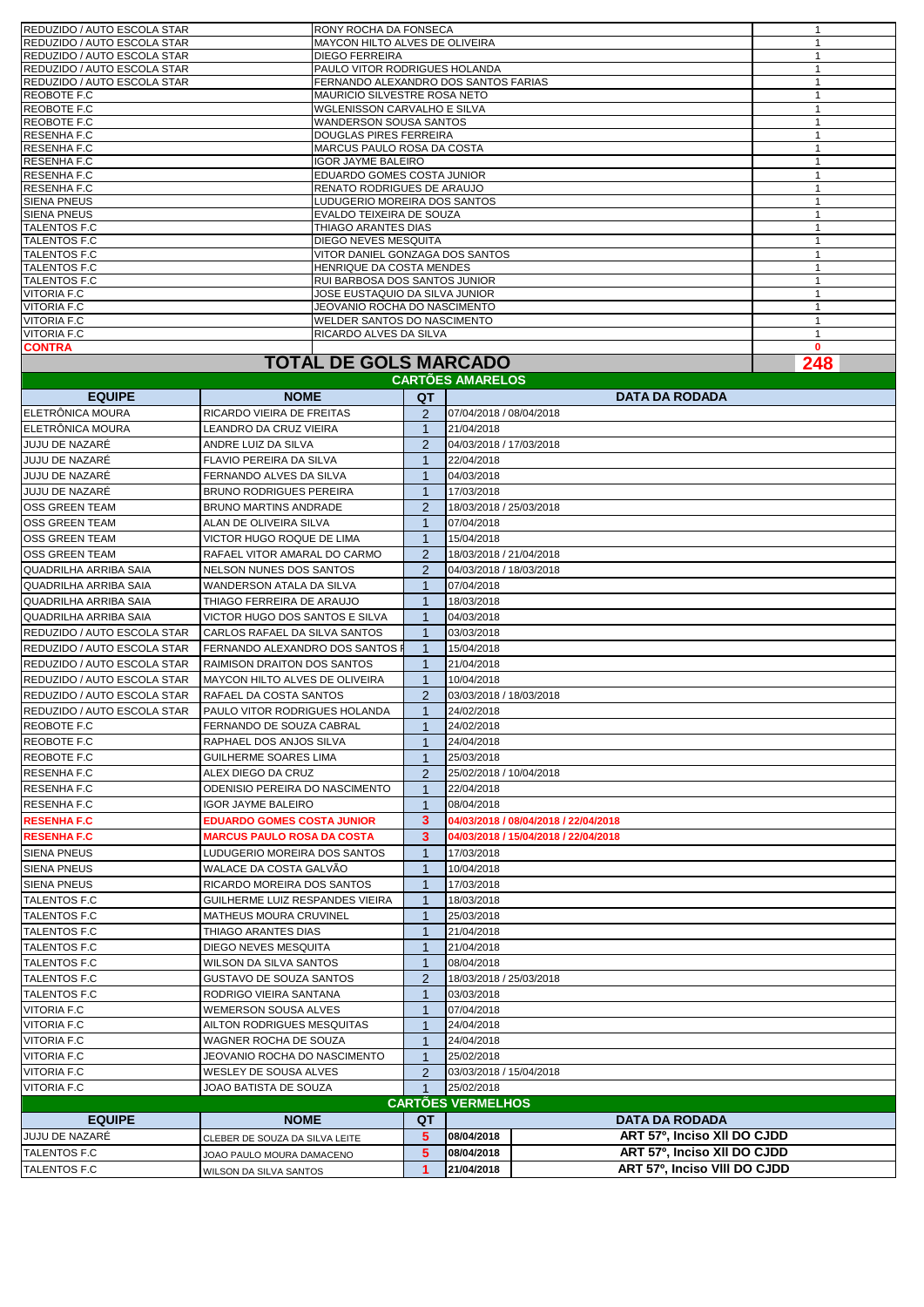| REDUZIDO / AUTO ESCOLA STAR | <b>RONY ROCHA DA FONSECA</b>         |   |
|-----------------------------|--------------------------------------|---|
| REDUZIDO / AUTO ESCOLA STAR | MAYCON HILTO ALVES DE OLIVEIRA       |   |
| REDUZIDO / AUTO ESCOLA STAR | <b>DIEGO FERREIRA</b>                |   |
| REDUZIDO / AUTO ESCOLA STAR | PAULO VITOR RODRIGUES HOLANDA        |   |
| REDUZIDO / AUTO ESCOLA STAR | FERNANDO ALEXANDRO DOS SANTOS FARIAS |   |
| REOBOTE F.C                 | <b>MAURICIO SILVESTRE ROSA NETO</b>  |   |
| REOBOTE F.C                 | WGLENISSON CARVALHO E SILVA          |   |
| REOBOTE F.C                 | <b>WANDERSON SOUSA SANTOS</b>        |   |
| RESENHA F.C                 | <b>DOUGLAS PIRES FERREIRA</b>        |   |
| RESENHA F.C                 | <b>MARCUS PAULO ROSA DA COSTA</b>    |   |
| RESENHA F.C                 | <b>IGOR JAYME BALEIRO</b>            |   |
| RESENHA F.C                 | EDUARDO GOMES COSTA JUNIOR           |   |
| RESENHA F.C                 | <b>RENATO RODRIGUES DE ARAUJO</b>    |   |
| <b>SIENA PNEUS</b>          | LUDUGERIO MOREIRA DOS SANTOS         |   |
| <b>SIENA PNEUS</b>          | EVALDO TEIXEIRA DE SOUZA             |   |
| <b>TALENTOS F.C</b>         | THIAGO ARANTES DIAS                  |   |
| <b>TALENTOS F.C</b>         | <b>DIEGO NEVES MESQUITA</b>          |   |
| <b>TALENTOS F.C</b>         | VITOR DANIEL GONZAGA DOS SANTOS      |   |
| TALENTOS F.C                | HENRIQUE DA COSTA MENDES             |   |
| <b>TALENTOS F.C</b>         | RUI BARBOSA DOS SANTOS JUNIOR        |   |
| VITORIA F.C                 | JOSE EUSTAQUIO DA SILVA JUNIOR       |   |
| VITORIA F.C                 | JEOVANIO ROCHA DO NASCIMENTO         |   |
| <b>VITORIA F.C</b>          | WELDER SANTOS DO NASCIMENTO          |   |
| VITORIA F.C                 | RICARDO ALVES DA SILVA               |   |
| <b>CONTRA</b>               |                                      | 0 |

**248**

## **TOTAL DE GOLS MARCADO CARTÕES AMARELOS**

|                              |                                   |                      | <u>UMNI ULU MIIMNLLUU</u> |                                      |
|------------------------------|-----------------------------------|----------------------|---------------------------|--------------------------------------|
| <b>EQUIPE</b>                | <b>NOME</b>                       | QT                   |                           | <b>DATA DA RODADA</b>                |
| ELETRÖNICA MOURA             | RICARDO VIEIRA DE FREITAS         | $\overline{2}$       | 07/04/2018 / 08/04/2018   |                                      |
| ELETRÔNICA MOURA             | LEANDRO DA CRUZ VIEIRA            | $\mathbf{1}$         | 21/04/2018                |                                      |
| JUJU DE NAZARÉ               | ANDRE LUIZ DA SILVA               | $\overline{2}$       | 04/03/2018 / 17/03/2018   |                                      |
| JUJU DE NAZARÉ               | FLAVIO PEREIRA DA SILVA           | $\overline{1}$       | 22/04/2018                |                                      |
| JUJU DE NAZARÉ               | FERNANDO ALVES DA SILVA           | $\overline{1}$       | 04/03/2018                |                                      |
| JUJU DE NAZARÉ               | <b>BRUNO RODRIGUES PEREIRA</b>    | $\mathbf{1}$         | 17/03/2018                |                                      |
| <b>OSS GREEN TEAM</b>        | <b>BRUNO MARTINS ANDRADE</b>      | $\overline{2}$       | 18/03/2018 / 25/03/2018   |                                      |
| <b>OSS GREEN TEAM</b>        | ALAN DE OLIVEIRA SILVA            | $\mathbf 1$          | 07/04/2018                |                                      |
| <b>OSS GREEN TEAM</b>        | VICTOR HUGO ROQUE DE LIMA         | $\mathbf{1}$         | 15/04/2018                |                                      |
| <b>OSS GREEN TEAM</b>        | RAFAEL VITOR AMARAL DO CARMO      | 2                    | 18/03/2018 / 21/04/2018   |                                      |
| <b>QUADRILHA ARRIBA SAIA</b> | NELSON NUNES DOS SANTOS           | 2                    | 04/03/2018 / 18/03/2018   |                                      |
| <b>QUADRILHA ARRIBA SAIA</b> | WANDERSON ATALA DA SILVA          | $\mathbf{1}$         | 07/04/2018                |                                      |
| QUADRILHA ARRIBA SAIA        | THIAGO FERREIRA DE ARAUJO         | $\mathbf{1}$         | 18/03/2018                |                                      |
| QUADRILHA ARRIBA SAIA        | VICTOR HUGO DOS SANTOS E SILVA    | 1                    | 04/03/2018                |                                      |
| REDUZIDO / AUTO ESCOLA STAR  | CARLOS RAFAEL DA SILVA SANTOS     | $\overline{1}$       | 03/03/2018                |                                      |
| REDUZIDO / AUTO ESCOLA STAR  | FERNANDO ALEXANDRO DOS SANTOS F   | $\mathbf{1}$         | 15/04/2018                |                                      |
| REDUZIDO / AUTO ESCOLA STAR  | RAIMISON DRAITON DOS SANTOS       | $\mathbf{1}$         | 21/04/2018                |                                      |
| REDUZIDO / AUTO ESCOLA STAR  | MAYCON HILTO ALVES DE OLIVEIRA    | $\mathbf{1}$         | 10/04/2018                |                                      |
| REDUZIDO / AUTO ESCOLA STAR  | RAFAEL DA COSTA SANTOS            | $\overline{2}$       | 03/03/2018 / 18/03/2018   |                                      |
| REDUZIDO / AUTO ESCOLA STAR  | PAULO VITOR RODRIGUES HOLANDA     | $\overline{1}$       | 24/02/2018                |                                      |
| REOBOTE F.C                  | FERNANDO DE SOUZA CABRAL          | $\overline{1}$       | 24/02/2018                |                                      |
| REOBOTE F.C                  | RAPHAEL DOS ANJOS SILVA           | $\mathbf{1}$         | 24/04/2018                |                                      |
| REOBOTE F.C                  | GUILHERME SOARES LIMA             | $\mathbf{1}$         | 25/03/2018                |                                      |
| <b>RESENHA F.C</b>           | ALEX DIEGO DA CRUZ                | 2                    | 25/02/2018 / 10/04/2018   |                                      |
| <b>RESENHA F.C</b>           | ODENISIO PEREIRA DO NASCIMENTO    | -1                   | 22/04/2018                |                                      |
| RESENHA F.C                  | <b>IGOR JAYME BALEIRO</b>         | $\mathbf{1}$         | 08/04/2018                |                                      |
| <b>RESENHAF.C</b>            | <b>EDUARDO GOMES COSTA JUNIOR</b> | 3                    |                           | 04/03/2018 / 08/04/2018 / 22/04/2018 |
| <b>RESENHAF.C</b>            | <b>MARCUS PAULO ROSA DA COSTA</b> | 3                    |                           | 04/03/2018 / 15/04/2018 / 22/04/2018 |
| <b>SIENA PNEUS</b>           | LUDUGERIO MOREIRA DOS SANTOS      | $\overline{1}$       | 17/03/2018                |                                      |
| <b>SIENA PNEUS</b>           | WALACE DA COSTA GALVÃO            | $\mathbf{1}$         | 10/04/2018                |                                      |
| <b>SIENA PNEUS</b>           | RICARDO MOREIRA DOS SANTOS        | $\mathbf 1$          | 17/03/2018                |                                      |
| <b>TALENTOS F.C</b>          | GUILHERME LUIZ RESPANDES VIEIRA   | $\mathbf{1}$         | 18/03/2018                |                                      |
| <b>TALENTOS F.C</b>          | MATHEUS MOURA CRUVINEL            | $\mathbf{1}$         | 25/03/2018                |                                      |
| <b>TALENTOS F.C</b>          | THIAGO ARANTES DIAS               | $\mathbf{1}$         | 21/04/2018                |                                      |
| <b>TALENTOS F.C</b>          | DIEGO NEVES MESQUITA              | $\mathbf 1$          | 21/04/2018                |                                      |
| <b>TALENTOS F.C</b>          | WILSON DA SILVA SANTOS            | $\overline{1}$       | 08/04/2018                |                                      |
| <b>TALENTOS F.C</b>          | <b>GUSTAVO DE SOUZA SANTOS</b>    | $\overline{2}$       | 18/03/2018 / 25/03/2018   |                                      |
| <b>TALENTOS F.C</b>          | RODRIGO VIEIRA SANTANA            | $\mathbf{1}$         | 03/03/2018                |                                      |
| <b>VITORIA F.C</b>           | <b>WEMERSON SOUSA ALVES</b>       | $\overline{1}$       | 07/04/2018                |                                      |
| <b>VITORIA F.C</b>           | AILTON RODRIGUES MESQUITAS        | $\mathbf{1}$         | 24/04/2018                |                                      |
| <b>VITORIA F.C</b>           | WAGNER ROCHA DE SOUZA             | $\mathbf{1}$         | 24/04/2018                |                                      |
| <b>VITORIA F.C</b>           | JEOVANIO ROCHA DO NASCIMENTO      | $\mathbf{1}$         | 25/02/2018                |                                      |
| <b>VITORIA F.C</b>           | WESLEY DE SOUSA ALVES             | 2                    | 03/03/2018 / 15/04/2018   |                                      |
| <b>VITORIA F.C</b>           | JOAO BATISTA DE SOUZA             | $\mathbf{1}$         | 25/02/2018                |                                      |
|                              |                                   |                      | <b>CARTOES VERMELHOS</b>  |                                      |
| <b>EQUIPE</b>                | <b>NOME</b>                       | QT                   |                           | <b>DATA DA RODADA</b>                |
| JUJU DE NAZARÉ               | CLEBER DE SOUZA DA SILVA LEITE    | 5                    | 08/04/2018                | ART 57º, Inciso XII DO CJDD          |
| <b>TALENTOS F.C</b>          | JOAO PAULO MOURA DAMACENO         | 5                    | 08/04/2018                | ART 57º. Inciso XII DO CJDD          |
| <b>TALENTOS F.C</b>          | WILSON DA SILVA SANTOS            | $\blacktriangleleft$ | 21/04/2018                | ART 57º. Inciso VIII DO CJDD         |
|                              |                                   |                      |                           |                                      |